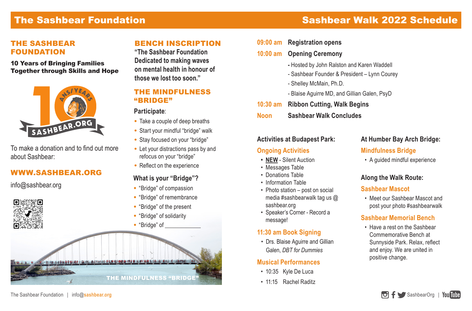## The Sashbear Foundation

## Sashbear Walk 2022 Schedule

#### THE SASHBEAR FOUNDATION

10 Years of Bringing Families Together through Skills and Hope



To make a donation and to find out more about Sashbear:

### WWW.SASHBEAR.ORG

info@sashbear.org

#### BENCH INSCRIPTION

**"The Sashbear Foundation Dedicated to making waves on mental health in honour of those we lost too soon."**

#### THE MINDFULNESS "BRIDGE"

#### **Participate**:

- Take a couple of deep breaths
- Start your mindful "bridge" walk
- Stay focused on your "bridge"
- Let your distractions pass by and refocus on your "bridge"
- $\bullet$  Reflect on the experience

#### **What is your "Bridge"?**

- "Bridge" of compassion
- "Bridge" of remembrance
- "Bridge" of the present
- "Bridge" of solidarity
- 



| 09:00 am Registration opens                  |
|----------------------------------------------|
| 10:00 am Opening Ceremony                    |
| - Hosted by John Ralston and Karen Waddell   |
| - Sashbear Founder & President - Lynn Courey |
| - Shelley McMain, Ph.D.                      |
| - Blaise Aguirre MD, and Gillian Galen, PsyD |

- **10:30 am Ribbon Cutting, Walk Begins**
- **Noon Sashbear Walk Concludes**

#### **Activities at Budapest Park:**

#### **Ongoing Activities**

- **• NEW** Silent Auction
- Messages Table
- Donations Table
- Information Table
- Photo station post on social media #sashbearwalk tag us @ sashbear.org
- Speaker's Corner Record a message!

#### **11:30 am Book Signing**

• Drs. Blaise Aguirre and Gillian Galen, *DBT for Dummies*

#### **Musical Performances**

- 10:35 Kyle De Luca
- 11:15 Rachel Raditz

#### **At Humber Bay Arch Bridge:**

#### **Mindfulness Bridge**

• A guided mindful experience

#### **Along the Walk Route:**

#### **Sashbear Mascot**

• Meet our Sashbear Mascot and post your photo #sashbearwalk

#### **Sashbear Memorial Bench**

• Have a rest on the Sashbear Commemorative Bench at Sunnyside Park. Relax, reflect and enjoy. We are united in positive change.